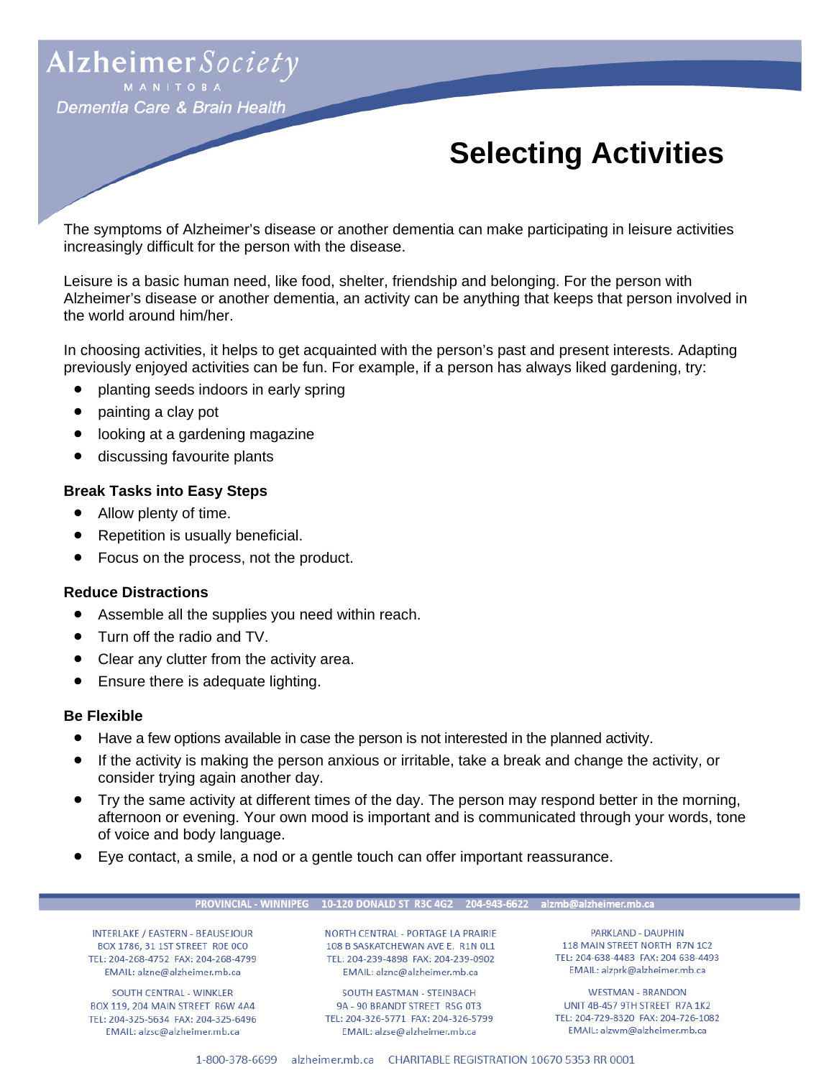# Alzheimer Society

Dementia Care & Brain Health

# **Selecting Activities**

The symptoms of Alzheimer's disease or another dementia can make participating in leisure activities increasingly difficult for the person with the disease.

Leisure is a basic human need, like food, shelter, friendship and belonging. For the person with Alzheimer's disease or another dementia, an activity can be anything that keeps that person involved in the world around him/her.

In choosing activities, it helps to get acquainted with the person's past and present interests. Adapting previously enjoyed activities can be fun. For example, if a person has always liked gardening, try:

- planting seeds indoors in early spring
- painting a clay pot
- looking at a gardening magazine
- discussing favourite plants

### **Break Tasks into Easy Steps**

- Allow plenty of time.
- Repetition is usually beneficial.
- Focus on the process, not the product.

#### **Reduce Distractions**

- Assemble all the supplies you need within reach.
- Turn off the radio and TV.
- Clear any clutter from the activity area.
- Ensure there is adequate lighting.

#### **Be Flexible**

- Have a few options available in case the person is not interested in the planned activity.
- If the activity is making the person anxious or irritable, take a break and change the activity, or consider trying again another day.
- Try the same activity at different times of the day. The person may respond better in the morning, afternoon or evening. Your own mood is important and is communicated through your words, tone of voice and body language.
- Eye contact, a smile, a nod or a gentle touch can offer important reassurance.

#### PROVINCIAL - WINNIPEG 10-120 DONALD ST R3C 4G2 204-943-6622 alzmb@alzheimer.mb.ca

INTERLAKE / EASTERN - BEAUSEJOUR BOX 1786, 31 1ST STREET ROE OCO TEL: 204-268-4752 FAX: 204-268-4799 EMAIL: alzne@alzheimer.mb.ca

SOUTH CENTRAL - WINKLER BOX 119, 204 MAIN STREET R6W 4A4 TEL: 204-325-5634 FAX: 204-325-6496 EMAIL: alzsc@alzheimer.mb.ca

NORTH CENTRAL - PORTAGE LA PRAIRIE 108 B SASKATCHEWAN AVE E. R1N OL1 TEL: 204-239-4898 FAX: 204-239-0902 EMAIL: alznc@alzheimer.mb.ca

SOUTH EASTMAN - STEINBACH 9A - 90 BRANDT STREET R5G 0T3 TEL: 204-326-5771 FAX: 204-326-5799 EMAIL: alzse@alzheimer.mb.ca

PARKLAND - DAUPHIN 118 MAIN STREET NORTH R7N 1C2 TEL: 204-638-4483 FAX: 204 638-4493 EMAIL: alzprk@alzheimer.mb.ca

**WESTMAN - BRANDON** UNIT 4B-457 9TH STREET R7A 1K2 TEL: 204-729-8320 FAX: 204-726-1082 EMAIL: alzwm@alzheimer.mb.ca